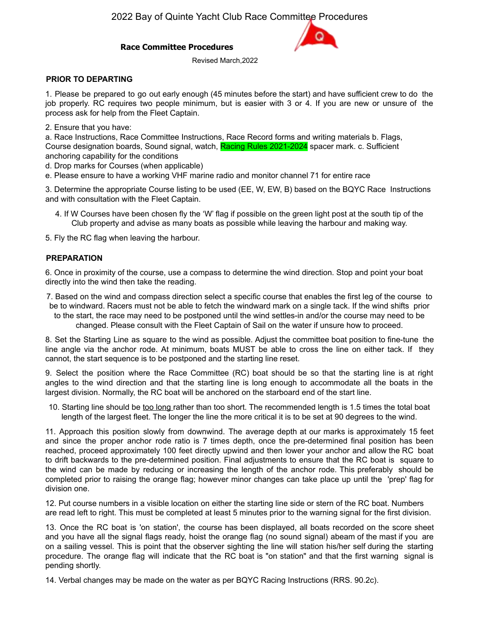# **Race Committee Procedures**

Revised March,2022

## **PRIOR TO DEPARTING**

1. Please be prepared to go out early enough (45 minutes before the start) and have sufficient crew to do the job properly. RC requires two people minimum, but is easier with 3 or 4. If you are new or unsure of the process ask for help from the Fleet Captain.

2. Ensure that you have:

a. Race Instructions, Race Committee Instructions, Race Record forms and writing materials b. Flags, Course designation boards, Sound signal, watch, Racing Rules 2021-2024 spacer mark. c. Sufficient anchoring capability for the conditions

d. Drop marks for Courses (when applicable)

e. Please ensure to have a working VHF marine radio and monitor channel 71 for entire race

3. Determine the appropriate Course listing to be used (EE, W, EW, B) based on the BQYC Race Instructions and with consultation with the Fleet Captain.

4. If W Courses have been chosen fly the 'W' flag if possible on the green light post at the south tip of the Club property and advise as many boats as possible while leaving the harbour and making way.

5. Fly the RC flag when leaving the harbour.

# **PREPARATION**

6. Once in proximity of the course, use a compass to determine the wind direction. Stop and point your boat directly into the wind then take the reading.

7. Based on the wind and compass direction select a specific course that enables the first leg of the course to be to windward. Racers must not be able to fetch the windward mark on a single tack. If the wind shifts prior to the start, the race may need to be postponed until the wind settles-in and/or the course may need to be changed. Please consult with the Fleet Captain of Sail on the water if unsure how to proceed.

8. Set the Starting Line as square to the wind as possible. Adjust the committee boat position to fine-tune the line angle via the anchor rode. At minimum, boats MUST be able to cross the line on either tack. If they cannot, the start sequence is to be postponed and the starting line reset.

9. Select the position where the Race Committee (RC) boat should be so that the starting line is at right angles to the wind direction and that the starting line is long enough to accommodate all the boats in the largest division. Normally, the RC boat will be anchored on the starboard end of the start line.

10. Starting line should be too long rather than too short. The recommended length is 1.5 times the total boat length of the largest fleet. The longer the line the more critical it is to be set at 90 degrees to the wind.

11. Approach this position slowly from downwind. The average depth at our marks is approximately 15 feet and since the proper anchor rode ratio is 7 times depth, once the pre-determined final position has been reached, proceed approximately 100 feet directly upwind and then lower your anchor and allow the RC boat to drift backwards to the pre-determined position. Final adjustments to ensure that the RC boat is square to the wind can be made by reducing or increasing the length of the anchor rode. This preferably should be completed prior to raising the orange flag; however minor changes can take place up until the 'prep' flag for division one.

12. Put course numbers in a visible location on either the starting line side or stern of the RC boat. Numbers are read left to right. This must be completed at least 5 minutes prior to the warning signal for the first division.

13. Once the RC boat is 'on station', the course has been displayed, all boats recorded on the score sheet and you have all the signal flags ready, hoist the orange flag (no sound signal) abeam of the mast if you are on a sailing vessel. This is point that the observer sighting the line will station his/her self during the starting procedure. The orange flag will indicate that the RC boat is "on station" and that the first warning signal is pending shortly.

14. Verbal changes may be made on the water as per BQYC Racing Instructions (RRS. 90.2c).